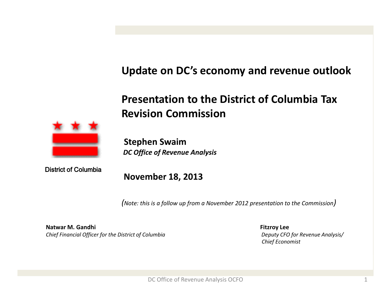# **Update on DC's economy and revenue outlook**

# **Presentation to the District of Columbia Tax Revision Commission**



**Stephen Swaim** *DC Office of Revenue Analysis*

District of Columbia

**November 18, 2013** 

*(Note: this is a follow up from a November 2012 presentation to the Commission)*

**Natwar M. Gandhi Fitzroy Lee** *Chief Financial Officer for the District of Columbia Deputy CFO for Revenue Analysis/* 

 *Chief Economist*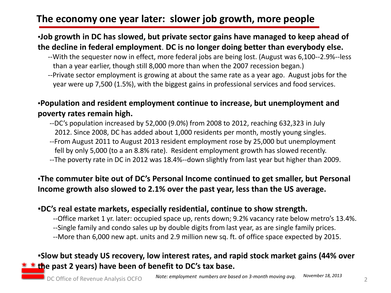## **The economy one year later: slower job growth, more people**

#### ▪**Job growth in DC has slowed, but private sector gains have managed to keep ahead of the decline in federal employment**. **DC is no longer doing better than everybody else.**

- --With the sequester now in effect, more federal jobs are being lost. (August was 6,100--2.9%--less than a year earlier, though still 8,000 more than when the 2007 recession began.)
- --Private sector employment is growing at about the same rate as a year ago. August jobs for the year were up 7,500 (1.5%), with the biggest gains in professional services and food services.

#### ▪**Population and resident employment continue to increase, but unemployment and poverty rates remain high.**

- --DC's population increased by 52,000 (9.0%) from 2008 to 2012, reaching 632,323 in July 2012. Since 2008, DC has added about 1,000 residents per month, mostly young singles.
- --From August 2011 to August 2013 resident employment rose by 25,000 but unemployment fell by only 5,000 (to a an 8.8% rate). Resident employment growth has slowed recently.
- --The poverty rate in DC in 2012 was 18.4%--down slightly from last year but higher than 2009.

#### ▪**The commuter bite out of DC's Personal Income continued to get smaller, but Personal Income growth also slowed to 2.1% over the past year, less than the US average.**

#### **▪DC's real estate markets, especially residential, continue to show strength.**

 --Office market 1 yr. later: occupied space up, rents down; 9.2% vacancy rate below metro's 13.4%. --Single family and condo sales up by double digits from last year, as are single family prices.

--More than 6,000 new apt. units and 2.9 million new sq. ft. of office space expected by 2015.

### **▪Slow but steady US recovery, low interest rates, and rapid stock market gains (44% over <u><b>\* t**</del> the past 2 years) have been of benefit to DC's tax base.</u>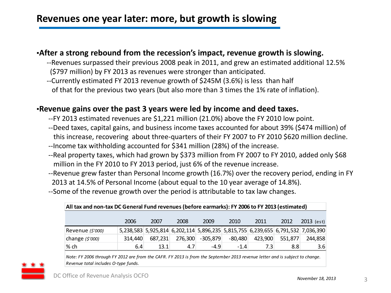## **Revenues one year later: more, but growth is slowing**

#### ▪**After a strong rebound from the recession's impact, revenue growth is slowing.**

- --Revenues surpassed their previous 2008 peak in 2011, and grew an estimated additional 12.5% (\$797 million) by FY 2013 as revenues were stronger than anticipated.
- --Currently estimated FY 2013 revenue growth of \$245M (3.6%) is less than half of that for the previous two years (but also more than 3 times the 1% rate of inflation).

#### ▪**Revenue gains over the past 3 years were led by income and deed taxes.**

- --FY 2013 estimated revenues are \$1,221 million (21.0%) above the FY 2010 low point.
- --Deed taxes, capital gains, and business income taxes accounted for about 39% (\$474 million) of this increase, recovering about three-quarters of their FY 2007 to FY 2010 \$620 million decline.
- --Income tax withholding accounted for \$341 million (28%) of the increase.
- --Real property taxes, which had grown by \$373 million from FY 2007 to FY 2010, added only \$68 million in the FY 2010 to FY 2013 period, just 6% of the revenue increase.
- --Revenue grew faster than Personal Income growth (16.7%) over the recovery period, ending in FY 2013 at 14.5% of Personal Income (about equal to the 10 year average of 14.8%).
- --Some of the revenue growth over the period is attributable to tax law changes.

| All tax and non-tax DC General Fund revenues (before earmarks): FY 2006 to FY 2013 (estimated) |         |         |         |            |           |         |         |                                                                                 |  |
|------------------------------------------------------------------------------------------------|---------|---------|---------|------------|-----------|---------|---------|---------------------------------------------------------------------------------|--|
|                                                                                                |         |         |         |            |           |         |         |                                                                                 |  |
|                                                                                                | 2006    | 2007    | 2008    | 2009       | 2010      | 2011    | 2012    | 2013 (est)                                                                      |  |
| Revenue (\$'000)                                                                               |         |         |         |            |           |         |         | 5,238,583 5,925,814 6,202,114 5,896,235 5,815,755 6,239,655 6,791,532 7,036,390 |  |
| change $(5'000)$                                                                               | 314.440 | 687.231 | 276,300 | $-305,879$ | $-80,480$ | 423,900 | 551,877 | 244.858                                                                         |  |
| % ch                                                                                           | 6.4     | 13.1    | 4.7     | $-4.9$     | $-1.4$    | 7.3     | 8.8     | 3.6 <sup>1</sup>                                                                |  |

*Note: FY 2006 through FY 2012 are from the CAFR. FY 2013 is from the September 2013 revenue letter and is subject to change. Revenue total includes O-type funds.*

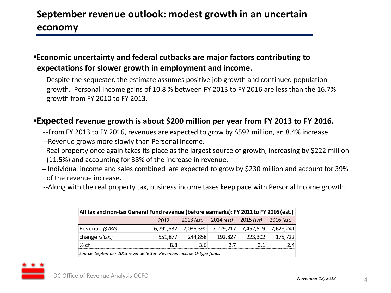# **September revenue outlook: modest growth in an uncertain economy**

#### ▪**Economic uncertainty and federal cutbacks are major factors contributing to expectations for slower growth in employment and income.**

 --Despite the sequester, the estimate assumes positive job growth and continued population growth. Personal Income gains of 10.8 % between FY 2013 to FY 2016 are less than the 16.7% growth from FY 2010 to FY 2013.

#### ▪**Expected revenue growth is about \$200 million per year from FY 2013 to FY 2016.**

- --From FY 2013 to FY 2016, revenues are expected to grow by \$592 million, an 8.4% increase.
- --Revenue grows more slowly than Personal Income.
- --Real property once again takes its place as the largest source of growth, increasing by \$222 million (11.5%) and accounting for 38% of the increase in revenue.
- **--** Individual income and sales combined are expected to grow by \$230 million and account for 39% of the revenue increase.
- --Along with the real property tax, business income taxes keep pace with Personal Income growth.

| All tax and non-tax General Fund revenue (before earmarks): FY 2012 to FY 2016 (est.) |           |           |                                        |           |              |  |  |  |  |
|---------------------------------------------------------------------------------------|-----------|-----------|----------------------------------------|-----------|--------------|--|--|--|--|
|                                                                                       | 2012      |           | $2013$ (est) $2014$ (est) $2015$ (est) |           | $2016$ (est) |  |  |  |  |
| Revenue (\$'000)                                                                      | 6,791,532 | 7,036,390 | 7,229,217                              | 7,452,519 | 7,628,241    |  |  |  |  |
| change $(5'000)$                                                                      | 551,877   | 244,858   | 192,827                                | 223,302   | 175,722      |  |  |  |  |
| % ch                                                                                  | 88        | 3.6       | 7 7                                    | 31        | 9Δ           |  |  |  |  |
| Source: September 2013 revenue letter. Revenues include O-type funds                  |           |           |                                        |           |              |  |  |  |  |



4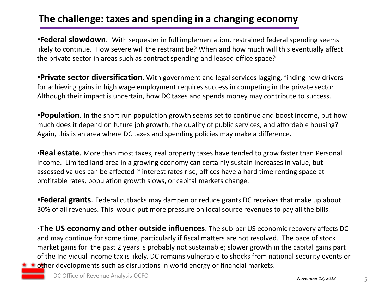## **The challenge: taxes and spending in a changing economy**

**• Federal slowdown**. With sequester in full implementation, restrained federal spending seems likely to continue. How severe will the restraint be? When and how much will this eventually affect the private sector in areas such as contract spending and leased office space?

**▪Private sector diversification**. With government and legal services lagging, finding new drivers for achieving gains in high wage employment requires success in competing in the private sector. Although their impact is uncertain, how DC taxes and spends money may contribute to success.

**•Population**. In the short run population growth seems set to continue and boost income, but how much does it depend on future job growth, the quality of public services, and affordable housing? Again, this is an area where DC taxes and spending policies may make a difference.

**•Real estate**. More than most taxes, real property taxes have tended to grow faster than Personal Income. Limited land area in a growing economy can certainly sustain increases in value, but assessed values can be affected if interest rates rise, offices have a hard time renting space at profitable rates, population growth slows, or capital markets change.

**Federal grants**. Federal cutbacks may dampen or reduce grants DC receives that make up about 30% of all revenues. This would put more pressure on local source revenues to pay all the bills.

▪**The US economy and other outside influences**. The sub-par US economic recovery affects DC and may continue for some time, particularly if fiscal matters are not resolved. The pace of stock market gains for the past 2 years is probably not sustainable; slower growth in the capital gains part of the Individual income tax is likely. DC remains vulnerable to shocks from national security events or  $\star \star$  other developments such as disruptions in world energy or financial markets.

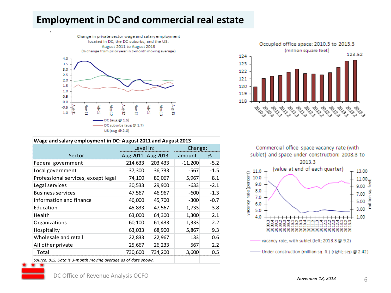## **Employment in DC and commercial real estate**



#### **Wage and salary employment in DC: August 2011 and August 2013**

|                                                               | Level in: |                   | Change:   |        |  |
|---------------------------------------------------------------|-----------|-------------------|-----------|--------|--|
| Sector                                                        |           | Aug 2011 Aug 2013 | amount    | %      |  |
| Federal government                                            | 214,633   | 203,433           | $-11,200$ | $-5.2$ |  |
| Local government                                              | 37,300    | 36,733            | $-567$    | $-1.5$ |  |
| Professional services, except legal                           | 74,100    | 80,067            | 5,967     | 8.1    |  |
| Legal services                                                | 30,533    | 29,900            | -633      | $-2.1$ |  |
| <b>Business services</b>                                      | 47,567    | 46,967            | $-600$    | $-1.3$ |  |
| Information and finance                                       | 46,000    | 45,700            | $-300$    | $-0.7$ |  |
| Education                                                     | 45,833    | 47,567            | 1,733     | 3.8    |  |
| Health                                                        | 63,000    | 64,300            | 1,300     | 2.1    |  |
| Organizations                                                 | 60,100    | 61,433            | 1,333     | 2.2    |  |
| Hospitality                                                   | 63,033    | 68,900            | 5,867     | 9.3    |  |
| Wholesale and retail                                          | 22,833    | 22,967            | 133       | 0.6    |  |
| All other private                                             | 25,667    | 26,233            | 567       | 2.2    |  |
| Total                                                         | 730,600   | 734,200           | 3,600     | 0.5    |  |
| Source: BLS. Data is 3-month moving average as of date shown. |           |                   |           |        |  |



Commercial office space vacancy rate (with sublet) and space under construction: 2008.3 to 2013.3 (value at end of each quarter) 11.0 13.00 vacancy rate (percent)  $11.00\frac{1}{5}$ 10.0  $9.0$ ہے 9.00 8.0 g 7.00  $7.0$ 5.00 6.0





.

6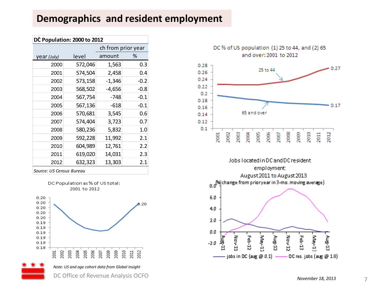## **Demographics and resident employment**

| DC Population: 2000 to 2012 |         |                    |        |  |  |  |  |  |  |
|-----------------------------|---------|--------------------|--------|--|--|--|--|--|--|
|                             |         | ch from prior year |        |  |  |  |  |  |  |
| year (July)                 | level   | amount             | ℅      |  |  |  |  |  |  |
| 2000                        | 572,046 | 1,563              | 0.3    |  |  |  |  |  |  |
| 2001                        | 574,504 | 2,458              | 0.4    |  |  |  |  |  |  |
| 2002                        | 573,158 | $-1,346$           | $-0.2$ |  |  |  |  |  |  |
| 2003                        | 568,502 | $-4,656$           | $-0.8$ |  |  |  |  |  |  |
| 2004                        | 567,754 | $-748$             | $-0.1$ |  |  |  |  |  |  |
| 2005                        | 567,136 | -618               | $-0.1$ |  |  |  |  |  |  |
| 2006                        | 570,681 | 3,545              | 0.6    |  |  |  |  |  |  |
| 2007                        | 574,404 | 3,723              | 0.7    |  |  |  |  |  |  |
| 2008                        | 580,236 | 5,832              | 1.0    |  |  |  |  |  |  |
| 2009                        | 592,228 | 11,992             | 2.1    |  |  |  |  |  |  |
| 2010                        | 604,989 | 12,761             | 2.2    |  |  |  |  |  |  |
| 2011                        | 619,020 | 14,031             | 2.3    |  |  |  |  |  |  |
| 2012                        | 632,323 | 13,303             | 2.1    |  |  |  |  |  |  |

*Source: US Census Bureau*







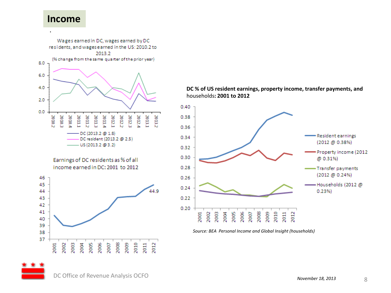#### **Income**



#### **DC % of US resident earnings, property income, transfer payments, and**  households**: 2001 to 2012**



*Source: BEA Personal Income and Global Insight (households)*



DC Office of Revenue Analysis OCFO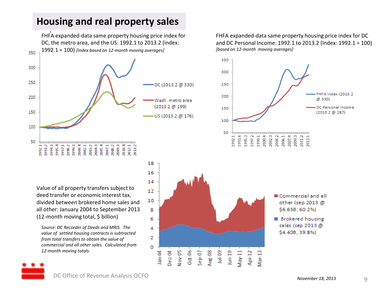## **Housing and real property sales**

. FHFA expanded-data same property housing price index for DC, the metro area, and the US: 1992.1 to 2013.2 (index: 1992.1 = 100) *[Index based on 12-month moving averages]* 350 300 250 DC (2013.2 @ 330) 200 Wash, metro area (2013.2 @ 199) 150 US (2013.2 @ 176) 100 50 1997.1<br>1988.3<br>1993.3  $20021$ <br> $20032$ 2010.4 992.1 1993.2 1994.3 1995.4 2004.3  $2005.4$ <br> $2007.1$ 2008.2 2009.3 2012.1<br>2013.2

Value of all property transfers subject to deed transfer or economic interest tax, divided between brokered home sales and all other: January 2004 to September 2013 (12-month moving total, \$ billion)

*Source: DC Recorder of Deeds and MRIS. The value of settled housing contracts is subtracted from total transfers to obtain the value of commercial and all other sales. Calculated from 12-month moving totals.*



FHFA expanded-data same property housing price index for DC and DC Personal Income: 1992.1 to 2013.2 (Index: 1992.1 = 100) *[based on 12-month moving averages]*



**Brokered housing** sales (sep 2013 @ \$4.40B, 39.8%)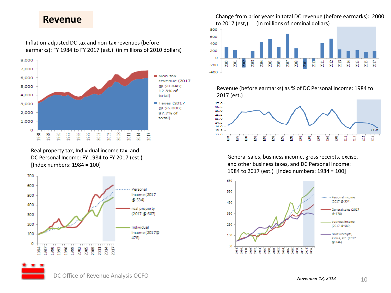#### **Revenue**



Real property tax, Individual income tax, and DC Personal Income: FY 1984 to FY 2017 (est.) [Index numbers: 1984 = 100]



Change from prior years in total DC revenue (before earmarks): 2000 to 2017 (est,) (In millions of nominal dollars)



Revenue (before earmarks) as % of DC Personal Income: 1984 to 2017 (est.)



General sales, business income, gross receipts, excise, and other business taxes, and DC Personal Income: 1984 to 2017 (est.) [Index numbers: 1984 = 100]